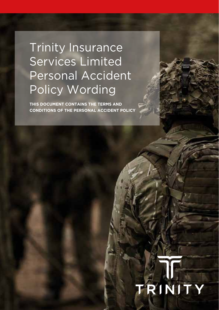# Trinity Insurance Services Limited Personal Accident Policy Wording

**THIS DOCUMENT CONTAINS THE TERMS AND CONDITIONS OF THE PERSONAL ACCIDENT POLICY**

# RINITY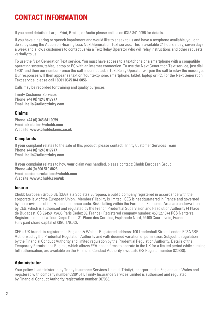# **CONTACT INFORMATION**

If you need details in Large Print, Braille, or Audio please call us on 0345 841 0056 for details.

If you have a hearing or speech impairment and would like to speak to us and have a textphone available, you can do so by using the Action on Hearing Loss Next Generation Text service. This is available 24 hours a day, seven days a week and allows customers to contact us via a Text Relay Operator who will relay instructions and other requests verbally to us.

To use the Next Generation Text service, You must have access to a textphone or a smartphone with a compatible operating system, tablet, laptop or PC with an internet connection. To use the Next Generation Text service, just dial 18001 and then our number - once the call is connected, a Text Relay Operator will join the call to relay the message. Our responses will then appear as text on Your textphone, smartphone, tablet, laptop or PC. For the Next Generation Text service, please call **18001 0345 841 0056**.

Calls may be recorded for training and quality purposes.

Trinity Customer Services Phone **+44 (0) 1243 817777** Email **hello@talktotrinity.com**

#### **Claims**

Phone **+44 (0) 345 841 0059**  Email **uk.claims@chubb.com**  Website **www.chubbclaims.co.uk**

#### **Complaints**

If **your** complaint relates to the sale of this product, please contact: Trinity Customer Services Team Phone **+44 (0) 1243 817777**  Email **hello@talktotrinity.com**

If **your** complaint relates to how **your** claim was handled, please contact: Chubb European Group Phone **+44 (0) 800 519 8026**  Email **customerrelations@chubb.com**  Website **www.chubb.com/uk**

#### **Insurer**

Chubb European Group SE (CEG) is a Societas Europaea, a public company registered in accordance with the corporate law of the European Union. Members' liability is limited. CEG is headquartered in France and governed by the provisions of the French insurance code. Risks falling within the European Economic Area are underwritten by CEG, which is authorised and regulated by the French Prudential Supervision and Resolution Authority (4 Place de Budapest, CS 92459, 75436 Paris Cedex 09, France). Registered company number: 450 327 374 RCS Nanterre. Registered office: La Tour Carpe Diem, 31 Place des Corolles, Esplanade Nord, 92400 Courbevoie, France. Fully paid share capital of €896,176,662.

CEG's UK branch is registered in England & Wales. Registered address: 100 Leadenhall Street, London EC3A 3BP. Authorised by the Prudential Regulation Authority and with deemed variation of permission. Subject to regulation by the Financial Conduct Authority and limited regulation by the Prudential Regulation Authority. Details of the Temporary Permissions Regime, which allows EEA-based firms to operate in the UK for a limited period while seeking full authorisation, are available on the Financial Conduct Authority's website (FS Register number 820988).

#### **Administrator**

Your policy is administered by Trinity Insurance Services Limited (Trinity), incorporated in England and Wales and registered with company number 03904541. Trinity Insurance Services Limited is authorised and regulated by Financial Conduct Authority registration number 307068.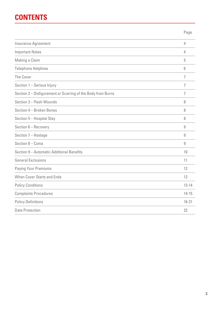# **CONTENTS**

Insurance Agreement 4 Important Notes 4 Making a Claim 5 Telephone Helplines 6 The Cover 7 November 2014 and 2014 and 2014 and 2014 and 2014 and 2014 and 2014 and 2014 and 2014 and 2014 and Section 1 – Serious Injury 7 Section 2 – Disfigurement or Scarring of the Body from Burns 7 Section 3 – Flesh Wounds 8 Section 4 – Broken Bones 8 Section 5 – Hospital Stay 8 Section 6 – Recovery 9 Section 7 – Hostage 9 Section 8 – Coma 9 Section 9 – Automatic Additional Benefits 10 General Exclusions 11 Paying Your Premiums 12 When Cover Starts and Ends 12 Policy Conditions **13-14** Complaints Procedures 14-15 Policy Definitions 16-21 Data Protection 22 Page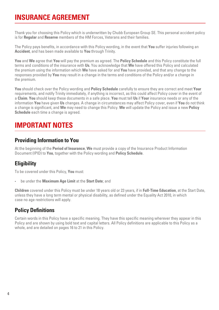# **INSURANCE AGREEMENT**

Thank you for choosing this Policy which is underwritten by Chubb European Group SE. This personal accident policy is for **Regular** and **Reserve** members of the HM Forces, Veterans and their families.

The Policy pays benefits, in accordance with this Policy wording, in the event that **You** suffer injuries following an **Accident**, and has been made available to **You** through Trinity.

**You** and **We** agree that **You** will pay the premium as agreed. The **Policy Schedule** and this Policy constitute the full terms and conditions of the insurance with **Us**. You acknowledge that **We** have offered this Policy and calculated the premium using the information which **We** have asked for and **You** have provided, and that any change to the responses provided by **You** may result in a change in the terms and conditions of the Policy and/or a change in the premium.

**You** should check over the Policy wording and **Policy Schedule** carefully to ensure they are correct and meet **Your** requirements, and notify Trinity immediately, if anything is incorrect, as this could affect Policy cover in the event of a **Claim**. **You** should keep these documents in a safe place. **You** must tell **Us** if **Your** insurance needs or any of the information **You** have given **Us** changes. A change in circumstances may affect Policy cover, even if **You** do not think a change is significant, and **We** may need to change this Policy. **We** will update the Policy and issue a new **Policy Schedule** each time a change is agreed.

# **IMPORTANT NOTES**

## **Providing Information to You**

At the beginning of the **Period of Insurance**, **We** must provide a copy of the Insurance Product Information Document (IPID) to **You**, together with the Policy wording and **Policy Schedule**.

## **Eligibility**

To be covered under this Policy, **You** must:

• be under the **Maximum Age Limit** at the **Start Date**; and

**Children** covered under this Policy must be under 18 years old or 23 years, if in **Full-Time Education**, at the Start Date, unless they have a long term mental or physical disability, as defined under the Equality Act 2010, in which case no age restrictions will apply.

## **Policy Definitions**

Certain words in this Policy have a specific meaning. They have this specific meaning wherever they appear in this Policy and are shown by using bold text and capital letters. All Policy definitions are applicable to this Policy as a whole, and are detailed on pages 16 to 21 in this Policy.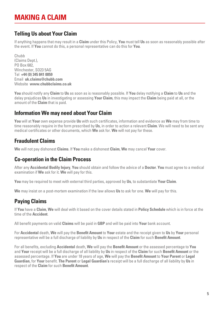# **MAKING A CLAIM**

## **Telling Us about Your Claim**

If anything happens that may result in a **Claim** under this Policy, **You** must tell **Us** as soon as reasonably possible after the event. If **You** cannot do this, a personal representative can do this for **You**.

Chubb (Claims Dept.), PO Box 682, Winchester, SO23 5AG Tel **+44 (0) 345 841 0059** Email **uk.claims@chubb.com** Website **www.chubbclaims.co.uk**

**You** should notify any **Claim** to **Us** as soon as is reasonably possible. If **You** delay notifying a **Claim** to **Us** and the delay prejudices **Us** in investigating or assessing **Your Claim**, this may impact the **Claim** being paid at all, or the amount of the **Claim** that is paid.

## **Information We may need about Your Claim**

**You** will at **Your** own expense provide **Us** with such certificates, information and evidence as **We** may from time to time reasonably require in the form prescribed by **Us**, in order to action a relevant **Claim**. We will need to be sent any medical certificates or other documents, which **We** ask for. **We** will not pay for these.

## **Fraudulent Claims**

**We** will not pay dishonest **Claims**. If **You** make a dishonest **Claim**, **We** may cancel **Your** cover.

## **Co-operation in the Claim Process**

After any **Accidental Bodily Injury**, **You** should obtain and follow the advice of a **Doctor**. **You** must agree to a medical examination if **We** ask for it. **We** will pay for this.

**You** may be required to meet with external third parties, approved by **Us**, to substantiate **Your Claim**.

**We** may insist on a post-mortem examination if the law allows **Us** to ask for one. **We** will pay for this.

## **Paying Claims**

If **You** have a **Claim**, **We** will deal with it based on the cover details stated in **Policy Schedule** which is in force at the time of the **Accident**.

All benefit payments on valid **Claims** will be paid in **GBP** and will be paid into **Your** bank account.

For **Accidental** death, **We** will pay the **Benefit Amount** to **Your** estate and the receipt given to **Us** by **Your** personal representative will be a full discharge of liability by **Us** in respect of the **Claim** for such **Benefit Amount**.

For all benefits, excluding **Accidental** death, **We** will pay the **Benefit Amount** or the assessed percentage to **You** and **Your** receipt will be a full discharge of all liability by **Us** in respect of the **Claim** for such **Benefit Amount** or the assessed percentage. If **You** are under 18 years of age, **We** will pay the **Benefit Amount** to **Your Parent** or **Legal Guardian**, for **Your** benefit. **The Parent** or **Legal Guardian's** receipt will be a full discharge of all liability by **Us** in respect of the **Claim** for such **Benefit Amount**.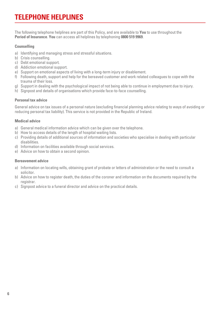# **TELEPHONE HELPLINES**

The following telephone helplines are part of this Policy, and are available to **You** to use throughout the **Period of Insurance**. **You** can access all helplines by telephoning **0800 519 9969**.

#### **Counselling**

- a) Identifying and managing stress and stressful situations.
- b) Crisis counselling.
- c) Debt emotional support.
- d) Addiction emotional support.
- e) Support on emotional aspects of living with a long-term injury or disablement.
- f) Following death, support and help for the bereaved customer and work related colleagues to cope with the trauma of their loss.
- g) Support in dealing with the psychological impact of not being able to continue in employment due to injury.
- h) Signpost and details of organisations which provide face-to-face counselling.

#### **Personal tax advice**

General advice on tax issues of a personal nature (excluding financial planning advice relating to ways of avoiding or reducing personal tax liability). This service is not provided in the Republic of Ireland.

#### **Medical advice**

- a) General medical information advice which can be given over the telephone.
- b) How to access details of the length of hospital waiting lists.
- c) Providing details of additional sources of information and societies who specialise in dealing with particular disabilities.
- d) Information on facilities available through social services.
- e) Advice on how to obtain a second opinion.

#### **Bereavement advice**

- a) Information on locating wills, obtaining grant of probate or letters of administration or the need to consult a solicitor.
- b) Advice on how to register death, the duties of the coroner and information on the documents required by the registrar.
- c) Signpost advice to a funeral director and advice on the practical details.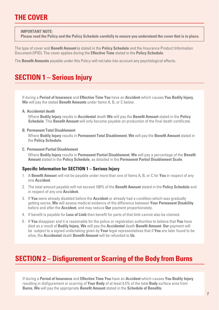# **THE COVER**

**IMPORTANT NOTE:**

**Please read the Policy and the Policy Schedule carefully to ensure you understand the cover that is in place.**

The type of cover and **Benefit Amount i**s stated in the **Policy Schedule** and the Insurance Product Information Document (IPID). The cover applies during the **Effective Time** stated in the **Policy Schedule**.

The **Benefit Amounts** payable under this Policy will not take into account any psychological effects.

# **SECTION 1 – Serious Injury**

If during a **Period of Insurance** and **Effective Time You** have an **Accident** which causes **You Bodily Injury**, **We** will pay the stated **Benefit Amounts** under Items A, B, or C below.

**A. Accidental death**

Where **Bodily Injury** results in **Accidental** death **We** will pay the **Benefit Amount** stated in the **Policy Schedule**. This **Benefit Amount** will only become payable on production of the final death certificate.

**B. Permanent Total Disablement**

Where **Bodily Injury** results in **Permanent Total Disablement**, **We** will pay the **Benefit Amount** stated in the **Policy Schedule**.

**C. Permanent Partial Disablement**

Where **Bodily Injury** results in **Permanent Partial Disablement**, **We** will pay a percentage of the **Benefit Amount** stated in the **Policy Schedule**, as detailed in the **Permanent Partial Disablement Scale**.

#### **Specific Information for SECTION 1 – Serious Injury**

- 1. A **Benefit Amoun**t will not be payable under more than one of Items A, B, or C for **You** in respect of any one **Accident**.
- 2. The total amount payable will not exceed 100% of the **Benefit Amount** stated in the **Policy Schedule** and in respect of any one **Accident**.
- 3. If **You** were already disabled before the **Accident** or already had a condition which was gradually getting worse, **We** will assess medical evidence of the difference between **Your Permanent Disability**  before and after the **Accident**, and may reduce **Our** payment proportionately.
- 4. If benefit is payable for **Loss of Limb** then benefit for parts of that limb cannot also be claimed.
- 5. If **You** disappear and it is reasonable for the police or registration authorities to believe that **You** have died as a result of **Bodily Injury**, **We** will pay the **Accidental** death **Benefit Amount**. **Our** payment will be subject to a signed undertaking given by **Your** legal representatives that if **You** are later found to be alive, the **Accidental** death **Benefit Amount** will be refunded to **Us**.

# **SECTION 2 – Disfigurement or Scarring of the Body from Burns**

If during a **Period of Insurance** and **Effective Time You** have an **Accident** which causes **You Bodily Injury**  resulting in disfigurement or scarring of **Your Body** of at least 4.5% of the total **Body** surface area from **Burns**, **We** will pay the appropriate **Benefit Amount** stated in the **Schedule of Benefits**.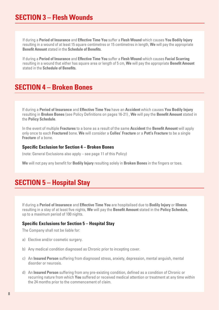# **SECTION 3 – Flesh Wounds**

If during a **Period of Insurance** and **Effective Time You** suffer a **Flesh Wound** which causes **You Bodily Injury**  resulting in a wound of at least 15 square centimetres or 15 centimetres in length, **We** will pay the appropriate **Benefit Amount** stated in the **Schedule of Benefits**.

If during a **Period of Insurance** and **Effective Time You** suffer a **Flesh Wound** which causes **Facial Scarring**  resulting in a wound that either has square area or length of 5 cm, **We** will pay the appropriate **Benefit Amount**  stated in the **Schedule of Benefits.**

# **SECTION 4 – Broken Bones**

If during a **Period of Insurance** and **Effective Time You** have an **Accident** which causes **You Bodily Injury**  resulting in **Broken Bones** (see Policy Definitions on pages 16-21) , **We** will pay the **Benefit Amount** stated in the **Policy Schedule**.

In the event of multiple **Fractures** to a bone as a result of the same **Accident** the **Benefit Amount** will apply only once to each **Fractured** bone. **We** will consider a **Colles' Fracture** or a **Pott's Fracture** to be a single **Fracture** of a bone.

#### **Specific Exclusion for Section 4 – Broken Bones**

(note: General Exclusions also apply – see page 11 of this Policy)

**We** will not pay any benefit for **Bodily Injury** resulting solely in **Broken Bones** in the fingers or toes.

# **SECTION 5 – Hospital Stay**

If during a **Period of Insurance** and **Effective Time You** are hospitalised due to **Bodily Injury** or **Illness** resulting in a stay of at least five nights, **We** will pay the **Benefit Amount** stated in the **Policy Schedule**, up to a maximum period of 100 nights.

#### **Specific Exclusions for Section 5 – Hospital Stay**

The Company shall not be liable for:

- a) Elective and/or cosmetic surgery.
- b) Any medical condition diagnosed as Chronic prior to incepting cover.
- c) An **Insured Person** suffering from diagnosed stress, anxiety, depression, mental anguish, mental disorder or neurosis.
- d) An **Insured Person** suffering from any pre-existing condition, defined as a condition of Chronic or recurring nature from which **You** suffered or received medical attention or treatment at any time within the 24 months prior to the commencement of claim.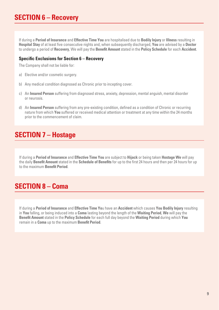If during a **Period of Insurance** and **Effective Time You** are hospitalised due to **Bodily Injury** or **Illness** resulting in **Hospital Stay** of at least five consecutive nights and, when subsequently discharged, **You** are advised by a **Doctor** to undergo a period of **Recovery**, We will pay the **Benefit Amount** stated in the **Policy Schedule** for each **Accident**.

#### **Specific Exclusions for Section 6 – Recovery**

The Company shall not be liable for:

- a) Elective and/or cosmetic surgery.
- b) Any medical condition diagnosed as Chronic prior to incepting cover.
- c) An **Insured Person** suffering from diagnosed stress, anxiety, depression, mental anguish, mental disorder or neurosis.
- d) An **Insured Person** suffering from any pre-existing condition, defined as a condition of Chronic or recurring nature from which **You** suffered or received medical attention or treatment at any time within the 24 months prior to the commencement of claim.

# **SECTION 7 – Hostage**

If during a **Period of Insurance** and **Effective Time You** are subject to **Hijack** or being taken **Hostage We** will pay the daily **Benefit Amount** stated in the **Schedule of Benefits** for up to the first 24 hours and then per 24 hours for up to the maximum **Benefit Period**.

# **SECTION 8 – Coma**

If during a **Period of Insurance** and **Effective Time Yo**u have an **Accident** which causes **You Bodily Injury** resulting in **You** falling, or being induced into a **Coma** lasting beyond the length of the **Waiting Period**, **We** will pay the **Benefit Amount** stated in the **Policy Schedule** for each full day beyond the **Waiting Period** during which **You** remain in a **Coma** up to the maximum **Benefit Period**.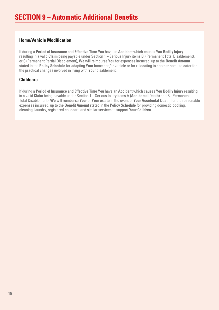#### **Home/Vehicle Modification**

If during a **Period of Insurance** and **Effective Time You** have an **Accident** which causes **You Bodily Injury** resulting in a valid **Claim** being payable under Section 1 – Serious Injury items B. (Permanent Total Disablement), or C (Permanent Partial Disablement), **We** will reimburse **You** for expenses incurred, up to the **Benefit Amount** stated in the **Policy Schedule** for adapting **Your** home and/or vehicle or for relocating to another home to cater for the practical changes involved in living with **Your** disablement.

#### **Childcare**

If during a **Period of Insurance** and **Effective Time You** have an **Accident** which causes **You Bodily Injury** resulting in a valid **Claim** being payable under Section 1 – Serious Injury items A (**Accidental** Death) and B. (Permanent Total Disablement), **We** will reimburse **You** (or **Your** estate in the event of **Your Accidental** Death) for the reasonable expenses incurred, up to the **Benefit Amount** stated in the **Policy Schedule** for providing domestic cooking, cleaning, laundry, registered childcare and similar services to support **Your Children**.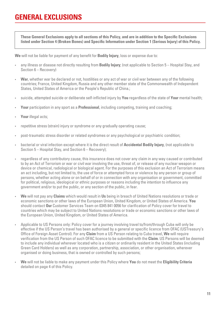# **GENERAL EXCLUSIONS**

**These General Exclusions apply to all sections of this Policy, and are in addition to the Specific Exclusions listed under Section 4 (Broken Bones) and Specific Information under Section 1 (Serious Injury) of this Policy.**

**We** will not be liable for payment of any benefit for **Bodily Injury**, loss or expense due to:

- any illness or disease not directly resulting from **Bodily Injury**; (not applicable to Section 5 Hospital Stay, and Section 6 – Recovery)
- **War**, whether war be declared or not, hostilities or any act of war or civil war between any of the following countries; France, United Kingdom, Russia and any other member state of the Commonwealth of Independent States, United States of America or the People's Republic of China.;
- suicide, attempted suicide or deliberate self-inflicted injury by **You** regardless of the state of **Your** mental health;
- **Your** participation in any sport as a **Professional**, including competing, training and coaching;
- **Your** illegal acts;
- repetitive stress (strain) injury or syndrome or any gradually operating cause;
- post-traumatic stress disorder or related syndromes or any psychological or psychiatric condition;
- bacterial or viral infection except where it is the direct result of **Accidental Bodily Injury**, (not applicable to Section 5 – Hospital Stay, and Section 6 – Recovery);
- regardless of any contributory cause, this insurance does not cover any claim in any way caused or contributed to by an Act of Terrorism or war or civil war involving the use, threat of, or release of any nuclear weapon or device or chemical, radiological or biological agent. For the purposes of this exclusion an Act of Terrorism means an act including, but not limited to, the use of force or attempted force or violence by any person or group of persons, whether acting alone or on behalf of or in connection with any organisation or government, committed for political, religious, ideological or ethnic purposes or reasons including the intention to influence any government and/or to put the public, or any section of the public, in fear.
- **We** will not pay any **Claims** which would result in **Us** being in breach of United Nations resolutions or trade or economic sanctions or other laws of the European Union, United Kingdom, or United States of America. **You** should contact **Our** Customer Services Team on 0345 841 0056 for clarification of Policy cover for travel to countries which may be subject to United Nations resolutions or trade or economic sanctions or other laws of the European Union, United Kingdom, or United States of America.
- Applicable to US Persons only: Policy cover for a journey involving travel to/from/through Cuba will only be effective if the US Person's travel has been authorised by a general or specific licence from OFAC (USTreasury's Office of Foreign Asset Control). For any **Claim** from a US Person relating to Cuba travel, **We** will require verification from the US Person of such OFAC licence to be submitted with the **Claim**. US Persons will be deemed to include any individual wherever located who is a citizen or ordinarily resident in the United States (including Green Card Holders) as well as any corporation, partnership, association, or other organisation, wherever organised or doing business, that is owned or controlled by such persons;
- **We** will not be liable to make any payment under this Policy where **You** do not meet the **Eligibility Criteria** detailed on page 4 of this Policy.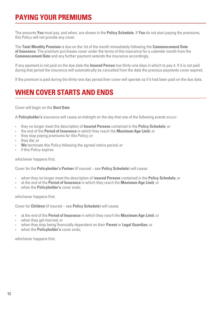# **PAYING YOUR PREMIUMS**

The amounts **You** must pay, and when, are shown in the **Policy Schedule**. If **You** do not start paying the premiums, this Policy will not provide any cover.

The **Total Monthly Premium** is due on the 1st of the month immediately following the **Commencement Date of Insurance**. The premium purchases cover under the terms of this insurance for a calendar month from the **Commencement Date** and any further payment extends the insurance accordingly.

If any payment is not paid on the due date the **Insured Person** has thirty-one days in which to pay it. If it is not paid during that period the insurance will automatically be cancelled from the date the previous payments cover expired.

If the premium is paid during the thirty-one day period then cover will operate as if it had been paid on the due date.

# **WHEN COVER STARTS AND ENDS**

Cover will begin on the **Start Date**.

A **Policyholder's** insurance will cease at midnight on the day that one of the following events occur:

- they no longer meet the description of **Insured Persons** contained in the **Policy Schedule**; or
- the end of the **Period of Insurance** in which they reach the **Maximum Age Limit**; or
- they stop paying premiums for this Policy; or
- they die; or
- **We** terminate this Policy following the agreed notice period; or
- if this Policy expires

whichever hannens first.

Cover for the **Policyholder's Partner** (if insured – see **Policy Schedule**) will cease:

- when they no longer meet the description of I**nsured Persons** contained in the **Policy Schedule**; or
- at the end of the **Period of Insurance** in which they reach the **Maximum Age Limit**; or
- when the **Policyholder's** cover ends;

whichever happens first.

Cover for **Children** (if insured – see **Policy Schedule**) will cease:

- at the end of the **Period of Insurance** in which they reach the **Maximum Age Limit**; or
- when they get married; or
- when they stop being financially dependent on their **Parent** or **Legal Guardian**; or
- when the **Policyholder's** cover ends;

whichever happens first.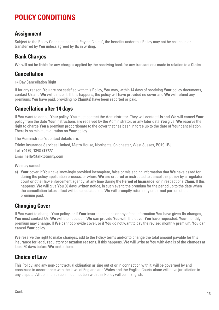# **POLICY CONDITIONS**

## **Assignment**

Subject to the Policy Condition headed 'Paying Claims', the benefits under this Policy may not be assigned or transferred by **You** unless agreed by **Us** in writing.

## **Bank Charges**

**We** will not be liable for any charges applied by the receiving bank for any transactions made in relation to a **Claim**.

## **Cancellation**

14 Day Cancellation Right

If for any reason, **You** are not satisfied with this Policy, **You** may, within 14 days of receiving **Your** policy documents, contact **Us** and **We** will cancel it. If this happens, the policy will have provided no cover and **We** will refund any premiums **You** have paid, providing no **Claim(s)** have been reported or paid.

## **Cancellation after 14 days**

If **You** want to cancel **Your** policy, **You** must contact the Administrator. They will contact **Us** and **We** will cancel **Your** policy from the date **Your** instructions are received by the Administrator, or any later date **You** give. **We** reserve the right to charge **You** a premium proportionate to the cover that has been in force up to the date of **Your** cancellation. There is no minimum duration on **Your** policy.

The Administrator's contact details are:

Trinity Insurance Services Limited, Metro House, Northgate, Chichester, West Sussex, PO19 1BJ

```
Tel +44 (0) 1243 817777
Email hello@talktotrinity.com
```
**We** may cancel

a) **Your** cover, if **You** have knowingly provided incomplete, false or misleading information that **We** have asked for during the policy application process, or where **We** are ordered or instructed to cancel this policy by a regulator, court or other law enforcement agency, at any time during the **Period of Insurance**, or in respect of a **Claim**. If this happens, **We** will give **You** 30 days written notice, in such event, the premium for the period up to the date when the cancellation takes effect will be calculated and **We** will promptly return any unearned portion of the premium paid.

## **Changing Cover**

If **You** want to change **Your** policy, or if **Your** insurance needs or any of the information **You** have given **Us** changes, **You** must contact **Us**. **We** will then decide if **We** can provide **You** with the cover **You** have requested. **Your** monthly premium may change. If **We** cannot provide cover, or if **You** do not want to pay the revised monthly premium, **You** can cancel **Your** policy.

**We** reserve the right to make changes, add to the Policy terms and/or to change the total amount payable for this insurance for legal, regulatory or taxation reasons. If this happens, **We** will write to **You** with details of the changes at least 30 days before **We** make them. .

## **Choice of Law**

This Policy, and any non-contractual obligation arising out of or in connection with it, will be governed by and construed in accordance with the laws of England and Wales and the English Courts alone will have jurisdiction in any dispute. All communication in connection with this Policy will be in English.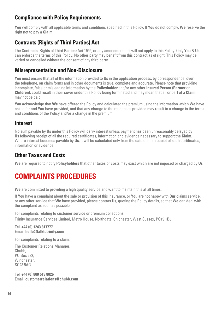## **Compliance with Policy Requirements**

**You** will comply with all applicable terms and conditions specified in this Policy. If **You** do not comply, **We** reserve the right not to pay a **Claim**.

## **Contracts (Rights of Third Parties) Act**

The Contracts (Rights of Third Parties) Act 1999, or any amendment to it will not apply to this Policy. Only **You** & **Us** can enforce the terms of this Policy. No other party may benefit from this contract as of right. This Policy may be varied or cancelled without the consent of any third party.

## **Misrepresentation and Non-Disclosure**

**You** must ensure that all of the information provided to **Us** in the application process, by correspondence, over the telephone, on claim forms and in other documents is true, complete and accurate. Please note that providing incomplete, false or misleading information by the **Policyholder** and/or any other **Insured Person** (**Partner** or **Children**), could result in their cover under this Policy being terminated and may mean that all or part of a **Claim** may not be paid.

**You** acknowledge that **We** have offered the Policy and calculated the premium using the information which **We** have asked for and **You** have provided, and that any change to the responses provided may result in a change in the terms and conditions of the Policy and/or a change in the premium.

## **Interest**

No sum payable by **Us** under this Policy will carry interest unless payment has been unreasonably delayed by **Us** following receipt of all the required certificates, information and evidence necessary to support the **Claim**. Where interest becomes payable by **Us**, it will be calculated only from the date of final receipt of such certificates, information or evidence.

## **Other Taxes and Costs**

**We** are required to notify **Policyholders** that other taxes or costs may exist which are not imposed or charged by **Us**.

# **COMPLAINTS PROCEDURES**

**We** are committed to providing a high quality service and want to maintain this at all times.

If **You** have a complaint about the sale or provision of this insurance, or **You** are not happy with **Our** claims service, or any other service that **We** have provided, please contact **Us**, quoting the Policy details, so that **We** can deal with the complaint as soon as possible.

For complaints relating to customer service or premium collections: Trinity Insurance Services Limited, Metro House, Northgate, Chichester, West Sussex, PO19 1BJ

#### Tel **+44 (0) 1243 817777** Email **hello@talktotrinity.com**

For complaints relating to a claim:

The Customer Relations Manager, Chubb, PO Box 682, Winchester.  $S$ 023 5 $\Delta$ G

Tel **+44 (0) 800 519 8026** Email **customerrelations@chubb.com**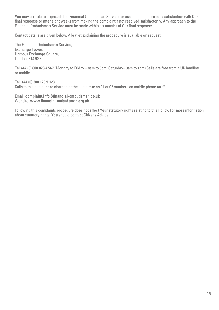**You** may be able to approach the Financial Ombudsman Service for assistance if there is dissatisfaction with **Our** final response or after eight weeks from making the complaint if not resolved satisfactorily. Any approach to the Financial Ombudsman Service must be made within six months of **Our** final response.

Contact details are given below. A leaflet explaining the procedure is available on request.

The Financial Ombudsman Service, Exchange Tower, Harbour Exchange Square, London, E14 9SR

Tel **+44 (0) 800 023 4 567** (Monday to Friday – 8am to 8pm, Saturday– 9am to 1pm) Calls are free from a UK landline or mobile.

Tel **+44 (0) 300 123 9 123**  Calls to this number are charged at the same rate as 01 or 02 numbers on mobile phone tariffs.

#### Email **complaint.info@financial-ombudsman.co.uk** Website **www.financial-ombudsman.org.uk**

Following this complaints procedure does not affect **Your** statutory rights relating to this Policy. For more information about statutory rights, **You** should contact Citizens Advice.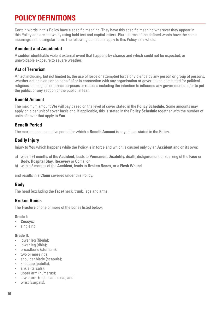# **POLICY DEFINITIONS**

Certain words in this Policy have a specific meaning. They have this specific meaning wherever they appear in this Policy and are shown by using bold text and capital letters. Plural forms of the defined words have the same meanings as the singular form. The following definitions apply to this Policy as a whole.

#### **Accident and Accidental**

A sudden identifiable violent external event that happens by chance and which could not be expected; or unavoidable exposure to severe weather.

#### **Act of Terrorism**

An act including, but not limited to, the use of force or attempted force or violence by any person or group of persons, whether acting alone or on behalf of or in connection with any organisation or government, committed for political, religious, ideological or ethnic purposes or reasons including the intention to influence any government and/or to put the public, or any section of the public, in fear.

#### **Benefit Amount**

The maximum amount **We** will pay based on the level of cover stated in the **Policy Schedule**. Some amounts may apply on a per unit of cover basis and, if applicable, this is stated in the **Policy Schedule** together with the number of units of cover that apply to **You**.

#### **Benefit Period**

The maximum consecutive period for which a **Benefit Amount** is payable as stated in the Policy.

#### **Bodily Injury**

Injury to **You** which happens while the Policy is in force and which is caused only by an **Accident** and on its own:

- a) within 24 months of the **Accident**, leads to **Permanent Disability,** death, disfigurement or scarring of the **Face** or **Body**, **Hospital Stay**, **Recovery** or **Coma**; or
- b) within 3 months of the **Accident**, leads to **Broken Bones**, or a **Flesh Wound**

and results in a **Claim** covered under this Policy.

#### **Body**

The head (excluding the **Face**) neck, trunk, legs and arms.

#### **Broken Bones**

The **Fracture** of one or more of the bones listed below:

#### **Grade I:**

- **Coccyx**;
- single rib;

#### **Grade II:**

- lower leg (fibula);
- lower leg (tibia);
- breastbone (sternum);
- two or more ribs:
- shoulder blade (scapula);
- kneecap (patella);
- ankle (tarsals);
- upper arm (humerus);
- lower arm (radius and ulna); and
- wrist (carpals).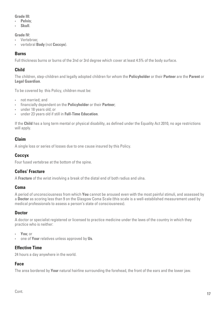#### **Grade III:**

- **Pelvis**;
- **Skull**.

#### **Grade IV:**

- Vertebrae;
- vertebral **Body** (not **Coccyx**).

#### **Burns**

Full thickness burns or burns of the 2nd or 3rd degree which cover at least 4.5% of the body surface.

#### **Child**

The children, step-children and legally adopted children for whom the **Policyholder** or their **Partner** are the **Parent** or **Legal Guardian**.

To be covered by this Policy, children must be:

- not married; and
- financially dependent on the **Policyholder** or their **Partner**;
- under 18 years old; or
- under 23 years old if still in **Full-Time Education**.

If the **Child** has a long term mental or physical disability, as defined under the Equality Act 2010, no age restrictions will apply.

#### **Claim**

A single loss or series of losses due to one cause insured by this Policy.

#### **Coccyx**

Four fused vertebrae at the bottom of the spine.

#### **Colles' Fracture**

A **Fracture** of the wrist involving a break of the distal end of both radius and ulna.

#### **Coma**

A period of unconsciousness from which **You** cannot be aroused even with the most painful stimuli, and assessed by a **Doctor** as scoring less than 9 on the Glasgow Coma Scale (this scale is a well-established measurement used by medical professionals to assess a person's state of consciousness).

#### **Doctor**

A doctor or specialist registered or licensed to practice medicine under the laws of the country in which they practice who is neither:

- **You**; or
- one of **Your** relatives unless approved by **Us**.

#### **Effective Time**

24 hours a day anywhere in the world.

#### **Face**

The area bordered by **Your** natural hairline surrounding the forehead, the front of the ears and the lower jaw.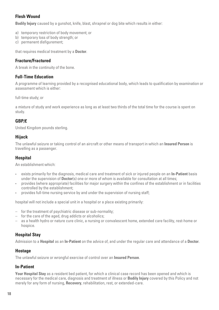#### **Flesh Wound**

**Bodily Injury** caused by a gunshot, knife, blast, shrapnel or dog bite which results in either:

- a) temporary restriction of body movement; or
- b) temporary loss of body strength; or
- c) permanent disfigurement;

that requires medical treatment by a **Doctor**.

#### **Fracture/Fractured**

A break in the continuity of the bone.

#### **Full-Time Education**

A programme of learning provided by a recognised educational body, which leads to qualification by examination or assessment which is either:

full-time study; or

a mixture of study and work experience as long as at least two thirds of the total time for the course is spent on study.

#### **GBP/£**

United Kingdom pounds sterling.

#### **Hijack**

The unlawful seizure or taking control of an aircraft or other means of transport in which an **Insured Person** is travelling as a passenger.

#### **Hospital**

An establishment which:

- exists primarily for the diagnosis, medical care and treatment of sick or injured people on an **In-Patient** basis under the supervision of **Doctor**(s) one or more of whom is available for consultation at all times;
- provides (where appropriate) facilities for major surgery within the confines of the establishment or in facilities controlled by the establishment;
- provides full-time nursing service by and under the supervision of nursing staff;

hospital will not include a special unit in a hospital or a place existing primarily:

- for the treatment of psychiatric disease or sub-normality;
- for the care of the aged, drug addicts or alcoholics;
- as a health hydro or nature cure clinic, a nursing or convalescent home, extended care facility, rest-home or hospice.

#### **Hospital Stay**

Admission to a **Hospital** as an **In-Patient** on the advice of, and under the regular care and attendance of a **Doctor**.

#### **Hostage**

The unlawful seizure or wrongful exercise of control over an **Insured Person**.

#### **In-Patient**

**Your Hospital Stay** as a resident bed patient, for which a clinical case record has been opened and which is necessary for the medical care, diagnosis and treatment of illness or **Bodily Injury** covered by this Policy and not merely for any form of nursing, **Recovery**, rehabilitation, rest, or extended-care.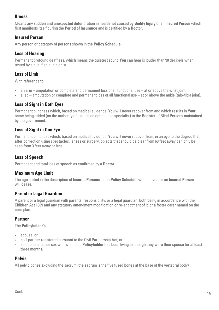#### **Illness**

Means any sudden and unexpected deterioration in health not caused by **Bodily Injury** of an **Insured Person** which first manifests itself during the **Period of Insurance** and is certified by a **Doctor**.

#### **Insured Person**

Any person or category of persons shown in the **Policy Schedule**.

#### **Loss of Hearing**

Permanent profound deafness, which means the quietest sound **You** can hear is louder than 90 decibels when tested by a qualified audiologist.

#### **Loss of Limb**

With reference to:

- an arm amputation or complete and permanent loss of all functional use at or above the wrist joint;
- a leg amputation or complete and permanent loss of all functional use at or above the ankle (talo-tibia joint).

#### **Loss of Sight in Both Eyes**

Permanent blindness which, based on medical evidence, **You** will never recover from and which results in **Your** name being added (on the authority of a qualified ophthalmic specialist) to the Register of Blind Persons maintained by the government.

#### **Loss of Sight in One Eye**

Permanent blindness which, based on medical evidence, **You** will never recover from, in an eye to the degree that, after correction using spectacles, lenses or surgery, objects that should be clear from 60 feet away can only be seen from 3 feet away or less.

#### **Loss of Speech**

Permanent and total loss of speech as confirmed by a **Doctor**.

#### **Maximum Age Limit**

The age stated in the description of **Insured Persons** in the **Policy Schedule** when cover for an **Insured Person** will cease.

#### **Parent or Legal Guardian**

A parent or a legal guardian with parental responsibility, or a legal guardian, both being in accordance with the Children Act 1989 and any statutory amendment modification or re-enactment of it, or a foster carer named on the care plan.

#### **Partner**

The **Policyholder's**:

- spouse; or
- civil partner registered pursuant to the Civil Partnership Act; or
- someone of either sex with whom the **Policyholder** has been living as though they were their spouse for at least three months.

#### **Pelvis**

All pelvic bones excluding the sacrum (the sacrum is the five fused bones at the base of the vertebral body).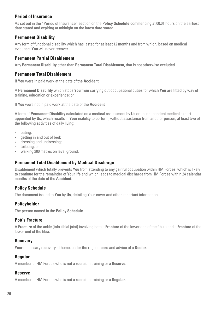#### **Period of Insurance**

As set out in the "Period of Insurance" section on the **Policy Schedule** commencing at 00.01 hours on the earliest date stated and expiring at midnight on the latest date stated.

#### **Permanent Disability**

Any form of functional disability which has lasted for at least 12 months and from which, based on medical evidence, **You** will never recover.

#### **Permanent Partial Disablement**

Any **Permanent Disability** other than **Permanent Total Disablement**, that is not otherwise excluded.

#### **Permanent Total Disablement**

If **You** were in paid work at the date of the **Accident**:

A **Permanent Disability** which stops **You** from carrying out occupational duties for which **You** are fitted by way of training, education or experience; or

If **You** were not in paid work at the date of the **Accident**:

A form of **Permanent Disability** calculated on a medical assessment by **Us** or an independent medical expert appointed by **Us**, which results in **Your** inability to perform, without assistance from another person, at least two of the following activities of daily living:

- eating;
- getting in and out of bed;
- dressing and undressing;
- toileting; or
- walking 200 metres on level ground.

#### **Permanent Total Disablement by Medical Discharge**

Disablement which totally prevents **You** from attending to any gainful occupation within HM Forces, which is likely to continue for the remainder of **Your** life and which leads to medical discharge from HM Forces within 24 calendar months of the date of the **Accident**.

#### **Policy Schedule**

The document issued to **You** by **Us**, detailing Your cover and other important information.

#### **Policyholder**

The person named in the **Policy Schedule**.

#### **Pott's Fracture**

A **Fracture** of the ankle (talo-tibial joint) involving both a **Fracture** of the lower end of the fibula and a **Fracture** of the lower end of the tibia.

#### **Recovery**

**Your** necessary recovery at home, under the regular care and advice of a **Doctor**.

#### **Regular**

A member of HM Forces who is not a recruit in training or a **Reserve**.

#### **Reserve**

A member of HM Forces who is not a recruit in training or a **Regular**.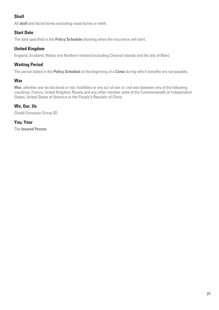#### **Skull**

All **skull** and facial bones excluding nasal bones or teeth.

#### **Start Date**

The date specified in the **Policy Schedule** showing when the insurance will start.

#### **United Kingdom**

England, Scotland, Wales and Northern Ireland (excluding Channel Islands and the Isle of Man).

#### **Waiting Period**

The period stated in the **Policy Schedule** at the beginning of a **Coma** during which benefits are not payable.

#### **War**

**War**, whether war be declared or not, hostilities or any act of war or civil war between any of the following countries; France, United Kingdom, Russia and any other member state of the Commonwealth of Independent States, United States of America or the People's Republic of China.

#### **We, Our, Us**

Chubb European Group SE.

#### **You, Your**

The **Insured Person**.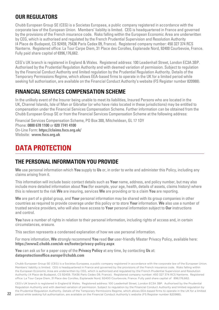## **OUR REGULATORS**

Chubb European Group SE (CEG) is a Societas Europaea, a public company registered in accordance with the corporate law of the European Union. Members' liability is limited. CEG is headquartered in France and governed by the provisions of the French insurance code. Risks falling within the European Economic Area are underwritten by CEG, which is authorised and regulated by the French Prudential Supervision and Resolution Authority (4 Place de Budapest, CS 92459, 75436 Paris Cedex 09, France). Registered company number: 450 327 374 RCS Nanterre. Registered office: La Tour Carpe Diem, 31 Place des Corolles, Esplanade Nord, 92400 Courbevoie, France. Fully paid share capital of €896,176,662.

CEG's UK branch is registered in England & Wales. Registered address: 100 Leadenhall Street, London EC3A 3BP. Authorised by the Prudential Regulation Authority and with deemed variation of permission. Subject to regulation by the Financial Conduct Authority and limited regulation by the Prudential Regulation Authority. Details of the Temporary Permissions Regime, which allows EEA-based firms to operate in the UK for a limited period while seeking full authorisation, are available on the Financial Conduct Authority's website (FS Register number 820988).

## **FINANCIAL SERVICES COMPENSATION SCHEME**

In the unlikely event of the Insurer being unable to meet its liabilities, Insured Persons who are located in the UK, Channel Islands, Isle of Man or Gibraltar (or who have risks located in these jurisdictions) may be entitled to compensation under the Financial Services Compensation Scheme. Further information can be obtained from the Chubb European Group SE or from the Financial Services Compensation Scheme at the following address:

Financial Services Compensation Scheme, PO Box 300, Mitcheldean, GL 17 1DY Phone: **0800 678 1100** or **020 7741 4100** On-Line Form: **https://claims.fscs.org.uk/** Website: **www.fscs.org.uk**

# **DATA PROTECTION**

## **THE PERSONAL INFORMATION YOU PROVIDE**

**We** use personal information which **You** supply to **Us** or, in order to write and administer this Policy, including any claims arising from it.

This information will include basic contact details such as **Your** name, address, and policy number, but may also include more detailed information about **You** (for example, your age, health, details of assets, claims history) where this is relevant to the risk **We** are insuring, services **We** are providing or to a claim **You** are reporting.

**We** are part of a global group, and **Your** personal information may be shared with its group companies in other countries as required to provide coverage under this policy or to store **Your** information. **We** also use a number of trusted service providers, who will also have access to **Your** personal information subject to **Our** instructions and control.

**You** have a number of rights in relation to their personal information, including rights of access and, in certain circumstances, erasure.

This section represents a condensed explanation of how we use personal information.

For more information, **We** strongly recommend **You** read **Our** user-friendly Master Privacy Policy, available here: **https://www2.chubb.com/uk-en/footer/privacy-policy.aspx**

#### **You** can ask us for a paper copy of the **Privacy Policy** at any time, by contacting **Us** at: **dataprotectionoffice.europe@chubb.com**

Chubb European Group SE (CEG) is a Societas Europaea, a public company registered in accordance with the corporate law of the European Union. Members' liability is limited. CEG is headquartered in France and governed by the provisions of the French insurance code. Risks falling within the European Economic Area are underwritten by CEG, which is authorised and regulated by the French Prudential Supervision and Resolution Authority (4 Place de Budapest, CS 92459, 75436 Paris Cedex 09, France). Registered company number: 450 327 374 RCS Nanterre. Registered office: La Tour Carpe Diem, 31 Place des Corolles, Esplanade Nord, 92400 Courbevoie, France. Fully paid share capital of €896,176,662.

CEG's UK branch is registered in England & Wales. Registered address: 100 Leadenhall Street, London EC3A 3BP. Authorised by the Prudential Regulation Authority and with deemed variation of permission. Subject to regulation by the Financial Conduct Authority and limited regulation by the Prudential Regulation Authority. Details of the Temporary Permissions Regime, which allows EEA-based firms to operate in the UK for a limited period while seeking full authorisation, are available on the Financial Conduct Authority's website (FS Register number 820988).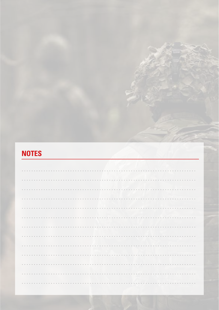# **NOTES**

| . |  |
|---|--|
|   |  |
|   |  |
|   |  |
|   |  |
|   |  |
|   |  |
|   |  |
|   |  |
|   |  |
| . |  |